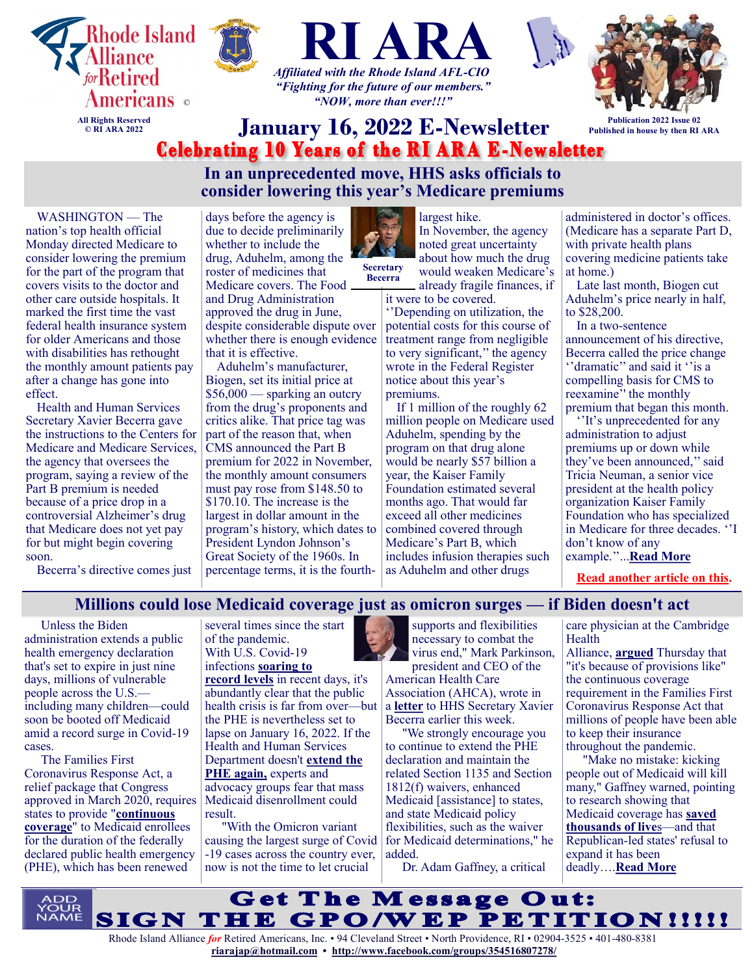





*"Fighting for the future of our members." "NOW, more than ever!!!"*



**Publication 2022 Issue 02 Published in house by then RI ARA**

# **January 16, 2022 E-Newsletter**<br>**Celebrating 10 Years of the RI ARA E-Newsletter**

**In an unprecedented move, HHS asks officials to consider lowering this year's Medicare premiums**

WASHINGTON — The nation's top health official Monday directed Medicare to consider lowering the premium for the part of the program that covers visits to the doctor and other care outside hospitals. It marked the first time the vast federal health insurance system for older Americans and those with disabilities has rethought the monthly amount patients pay after a change has gone into effect.

Health and Human Services Secretary Xavier Becerra gave the instructions to the Centers for Medicare and Medicare Services, the agency that oversees the program, saying a review of the Part B premium is needed because of a price drop in a controversial Alzheimer's drug that Medicare does not yet pay for but might begin covering soon.

Becerra's directive comes just

days before the agency is due to decide preliminarily whether to include the drug, Aduhelm, among the roster of medicines that Medicare covers. The Food and Drug Administration approved the drug in June, despite considerable dispute over whether there is enough evidence that it is effective.

Aduhelm's manufacturer, Biogen, set its initial price at \$56,000 — sparking an outcry from the drug's proponents and critics alike. That price tag was part of the reason that, when CMS announced the Part B premium for 2022 in November, the monthly amount consumers must pay rose from \$148.50 to \$170.10. The increase is the largest in dollar amount in the program's history, which dates to President Lyndon Johnson's Great Society of the 1960s. In percentage terms, it is the fourth-



**Secretary Becerra**

would weaken Medicare's already fragile finances, if it were to be covered.

largest hike.

''Depending on utilization, the potential costs for this course of treatment range from negligible to very significant,'' the agency wrote in the Federal Register notice about this year's

premiums.

If 1 million of the roughly 62 million people on Medicare used Aduhelm, spending by the program on that drug alone would be nearly \$57 billion a year, the Kaiser Family Foundation estimated several months ago. That would far exceed all other medicines combined covered through Medicare's Part B, which includes infusion therapies such as Aduhelm and other drugs

administered in doctor's offices. (Medicare has a separate Part D, with private health plans covering medicine patients take at home.)

Late last month, Biogen cut Aduhelm's price nearly in half, to \$28,200.

In a two-sentence announcement of his directive, Becerra called the price change ''dramatic'' and said it ''is a compelling basis for CMS to reexamine'' the monthly premium that began this month.

''It's unprecedented for any administration to adjust premiums up or down while they've been announced,'' said Tricia Neuman, a senior vice president at the health policy organization Kaiser Family Foundation who has specialized in Medicare for three decades. ''I don't know of any example.''...**[Read More](https://www.msn.com/en-us/money/insurance/in-an-unprecedented-move-hhs-asks-officials-to-consider-lowering-this-years-medicare-premiums/ar-AASDt97?ocid=SK2DDHP&li=BBnb7Kz)**

**[Read another article on this.](https://www.msn.com/en-us/health/medical/medicare-proposes-restricting-coverage-of-alzheimers-drug/ar-AASG8ud?ocid=SK2DDHP&li=BBnb7Kz)**

# **Millions could lose Medicaid coverage just as omicron surges — if Biden doesn't act**

Unless the Biden administration extends a public health emergency declaration that's set to expire in just nine days, millions of vulnerable people across the U.S. including many children—could soon be booted off Medicaid amid a record surge in Covid-19 cases.

The Families First Coronavirus Response Act, a relief package that Congress approved in March 2020, requires Medicaid disenrollment could states to provide "**[continuous](https://www.kff.org/medicaid/issue-brief/medicaid-enrollment-churn-and-implications-for-continuous-coverage-policies/)  [coverage](https://www.kff.org/medicaid/issue-brief/medicaid-enrollment-churn-and-implications-for-continuous-coverage-policies/)**" to Medicaid enrollees for the duration of the federally declared public health emergency (PHE), which has been renewed

several times since the start of the pandemic. With U.S. Covid-19 infections **[soaring to](https://www.cnbc.com/2022/01/04/us-counts-over-1-million-new-daily-covid-cases-in-global-record-.html)  [record levels](https://www.cnbc.com/2022/01/04/us-counts-over-1-million-new-daily-covid-cases-in-global-record-.html)** in recent days, it's abundantly clear that the public health crisis is far from over—but the PHE is nevertheless set to lapse on January 16, 2022. If the Health and Human Services Department doesn't **[extend the](https://www.phe.gov/emergency/news/healthactions/phe/Pages/default.aspx)  [PHE again,](https://www.phe.gov/emergency/news/healthactions/phe/Pages/default.aspx)** experts and advocacy groups fear that mass result.

"With the Omicron variant causing the largest surge of Covid -19 cases across the country ever, now is not the time to let crucial

supports and flexibilities necessary to combat the virus end," Mark Parkinson, president and CEO of the

American Health Care Association (AHCA), wrote in a **[letter](https://www.ahcancal.org/News-and-Communications/Fact-Sheets/Letters/AHCA_NCAL%20PHE%20Extension%20Letter%20to%20Sec%20Becerra%201.5.22.pdf)** to HHS Secretary Xavier Becerra earlier this week.

"We strongly encourage you to continue to extend the PHE declaration and maintain the related Section 1135 and Section 1812(f) waivers, enhanced Medicaid [assistance] to states, and state Medicaid policy flexibilities, such as the waiver for Medicaid determinations," he added.

Dr. Adam Gaffney, a critical

care physician at the Cambridge Health

Alliance, **[argued](https://twitter.com/awgaffney/status/1479263113249701898)** Thursday that "it's because of provisions like" the continuous coverage requirement in the Families First Coronavirus Response Act that millions of people have been able to keep their insurance throughout the pandemic.

"Make no mistake: kicking people out of Medicaid will kill many," Gaffney warned, pointing to research showing that Medicaid coverage has **[saved](https://www.cbpp.org/research/health/medicaid-expansion-has-saved-at-least-19000-lives-new-research-finds)  [thousands of live](https://www.cbpp.org/research/health/medicaid-expansion-has-saved-at-least-19000-lives-new-research-finds)**s—and that Republican-led states' refusal to expand it has been deadly….**[Read More](https://www.msn.com/en-us/news/us/millions-could-lose-medicaid-coverage-just-as-omicron-surges-%e2%80%94-if-biden-doesnt-act/ar-AASAq6A?ocid=SK2DDHP&li=BBnbfcL)**

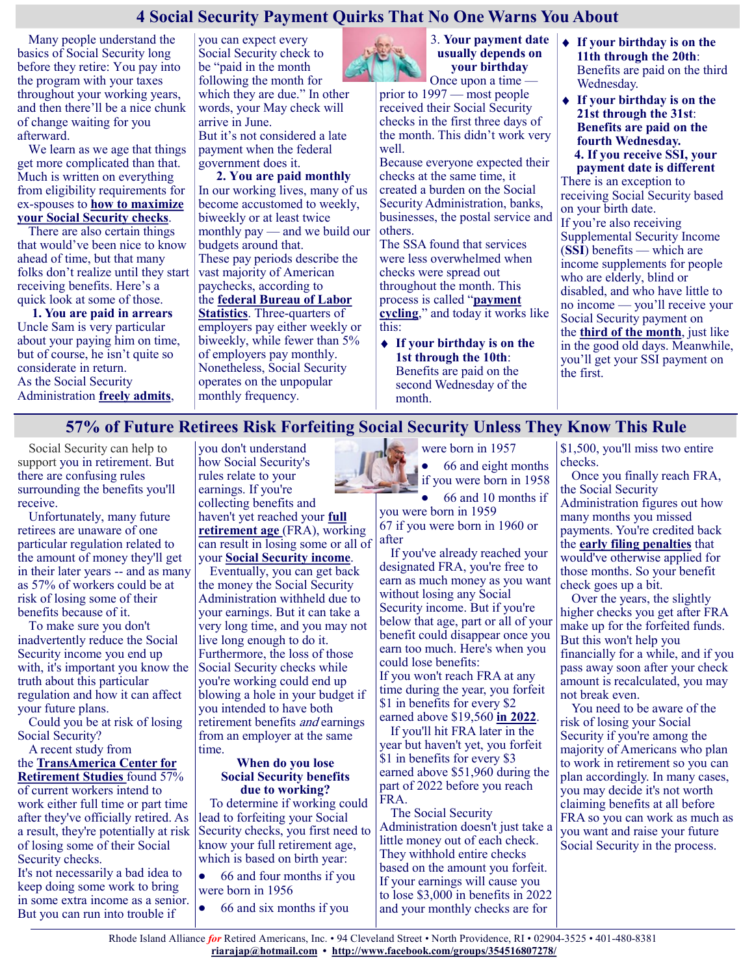# **4 Social Security Payment Quirks That No One Warns You About**

Many people understand the basics of Social Security long before they retire: You pay into the program with your taxes throughout your working years, and then there'll be a nice chunk of change waiting for you afterward.

We learn as we age that things get more complicated than that. Much is written on everything from eligibility requirements for ex-spouses to **[how to maximize](https://www.moneytalksnews.com/solutions/social-security/)  [your Social Security checks](https://www.moneytalksnews.com/solutions/social-security/)**.

There are also certain things that would've been nice to know ahead of time, but that many folks don't realize until they start receiving benefits. Here's a quick look at some of those.

**1. You are paid in arrears** Uncle Sam is very particular about your paying him on time, but of course, he isn't quite so considerate in return. As the Social Security Administration **[freely admits](https://www.ssa.gov/pubs/EN-05-10077.pdf)**,

you can expect every Social Security check to be "paid in the month following the month for which they are due." In other words, your May check will arrive in June.

But it's not considered a late payment when the federal government does it.

**2. You are paid monthly** In our working lives, many of us become accustomed to weekly, biweekly or at least twice monthly pay — and we build our budgets around that. These pay periods describe the

vast majority of American paychecks, according to the **[federal Bureau of Labor](https://www.bls.gov/ces/publications/length-pay-period.htm)** 

# **[Statistics](https://www.bls.gov/ces/publications/length-pay-period.htm)**. Three-quarters of

employers pay either weekly or biweekly, while fewer than 5% of employers pay monthly. Nonetheless, Social Security operates on the unpopular monthly frequency.



3. **Your payment date usually depends on your birthday** Once upon a time —

prior to 1997 — most people received their Social Security checks in the first three days of the month. This didn't work very well.

Because everyone expected their checks at the same time, it created a burden on the Social Security Administration, banks, businesses, the postal service and others.

The SSA found that services were less overwhelmed when checks were spread out throughout the month. This process is called "**[payment](https://www.ssa.gov/history/ssa/ssa2000chapter5.html)  [cycling](https://www.ssa.gov/history/ssa/ssa2000chapter5.html)**," and today it works like this:

**If your birthday is on the 1st through the 10th**: Benefits are paid on the second Wednesday of the month.

- **If your birthday is on the 11th through the 20th**: Benefits are paid on the third Wednesday.
- **If your birthday is on the 21st through the 31st**: **Benefits are paid on the fourth Wednesday. 4. If you receive SSI, your**

**payment date is different** There is an exception to receiving Social Security based on your birth date. If you're also receiving Supplemental Security Income (**[SSI](https://www.ssa.gov/ssi/)**) benefits — which are income supplements for people who are elderly, blind or disabled, and who have little to no income — you'll receive your Social Security payment on the **[third of the month](https://www.ssa.gov/pubs/EN-05-10031-2022.pdf)**, just like in the good old days. Meanwhile, you'll get your SSI payment on the first.

# **57% of Future Retirees Risk Forfeiting Social Security Unless They Know This Rule**

Social Security can help to support you in retirement. But there are confusing rules surrounding the benefits you'll receive.

Unfortunately, many future retirees are unaware of one particular regulation related to the amount of money they'll get in their later years -- and as many as 57% of workers could be at risk of losing some of their benefits because of it.

To make sure you don't inadvertently reduce the Social Security income you end up with, it's important you know the truth about this particular regulation and how it can affect your future plans.

Could you be at risk of losing Social Security?

A recent study from the **[TransAmerica Center for](https://transamericainstitute.org/docs/default-source/research/2021-retirement-outlook-compendium-report.pdf)  [Retirement Studies](https://transamericainstitute.org/docs/default-source/research/2021-retirement-outlook-compendium-report.pdf)** found 57% of current workers intend to work either full time or part time after they've officially retired. As a result, they're potentially at risk of losing some of their Social Security checks.

It's not necessarily a bad idea to keep doing some work to bring in some extra income as a senior. But you can run into trouble if

you don't understand how Social Security's rules relate to your earnings. If you're collecting benefits and haven't yet reached your **[full](https://www.fool.com/retirement/social-security/full-retirement-age/?utm_source=msnrss&utm_medium=feed&utm_campaign=article&referring_guid=d95b16f6-39c4-4376-ac75-e1c732cdc391)  [retirement age](https://www.fool.com/retirement/social-security/full-retirement-age/?utm_source=msnrss&utm_medium=feed&utm_campaign=article&referring_guid=d95b16f6-39c4-4376-ac75-e1c732cdc391)** (FRA), working can result in losing some or all of your **[Social Security income](https://www.fool.com/retirement/social-security/?utm_source=msnrss&utm_medium=feed&utm_campaign=article&referring_guid=d95b16f6-39c4-4376-ac75-e1c732cdc391)**.

Eventually, you can get back the money the Social Security Administration withheld due to your earnings. But it can take a very long time, and you may not live long enough to do it. Furthermore, the loss of those Social Security checks while you're working could end up blowing a hole in your budget if you intended to have both retirement benefits *and* earnings from an employer at the same time.

#### **When do you lose Social Security benefits due to working?**

To determine if working could lead to forfeiting your Social Security checks, you first need to know your full retirement age, which is based on birth year:

66 and four months if you  $\bullet$ were born in 1956

66 and six months if you

were born in 1957 66 and eight months  $\bullet$ if you were born in 1958

66 and 10 months if

you were born in 1959 67 if you were born in 1960 or after

If you've already reached your designated FRA, you're free to earn as much money as you want without losing any Social Security income. But if you're below that age, part or all of your benefit could disappear once you earn too much. Here's when you could lose benefits:

If you won't reach FRA at any time during the year, you forfeit \$1 in benefits for every \$2 earned above \$19,560 **[in 2022](https://www.fool.com/investing/2021/12/10/4-social-security-changes-to-prepare-for-in-2022/?utm_source=msnrss&utm_medium=feed&utm_campaign=article&referring_guid=d95b16f6-39c4-4376-ac75-e1c732cdc391)**.

If you'll hit FRA later in the year but haven't yet, you forfeit \$1 in benefits for every \$3 earned above \$51,960 during the part of 2022 before you reach FRA.

The Social Security Administration doesn't just take a little money out of each check. They withhold entire checks based on the amount you forfeit. If your earnings will cause you to lose \$3,000 in benefits in 2022 and your monthly checks are for

\$1,500, you'll miss two entire checks.

Once you finally reach FRA, the Social Security Administration figures out how many months you missed payments. You're credited back the **[early filing penalties](https://www.fool.com/retirement/2019/08/14/how-much-does-filing-early-cut-my-social-security.aspx?utm_source=msnrss&utm_medium=feed&utm_campaign=article&referring_guid=d95b16f6-39c4-4376-ac75-e1c732cdc391)** that would've otherwise applied for those months. So your benefit check goes up a bit.

Over the years, the slightly higher checks you get after FRA make up for the forfeited funds. But this won't help you financially for a while, and if you pass away soon after your check amount is recalculated, you may not break even.

You need to be aware of the risk of losing your Social Security if you're among the majority of Americans who plan to work in retirement so you can plan accordingly. In many cases, you may decide it's not worth claiming benefits at all before FRA so you can work as much as you want and raise your future Social Security in the process.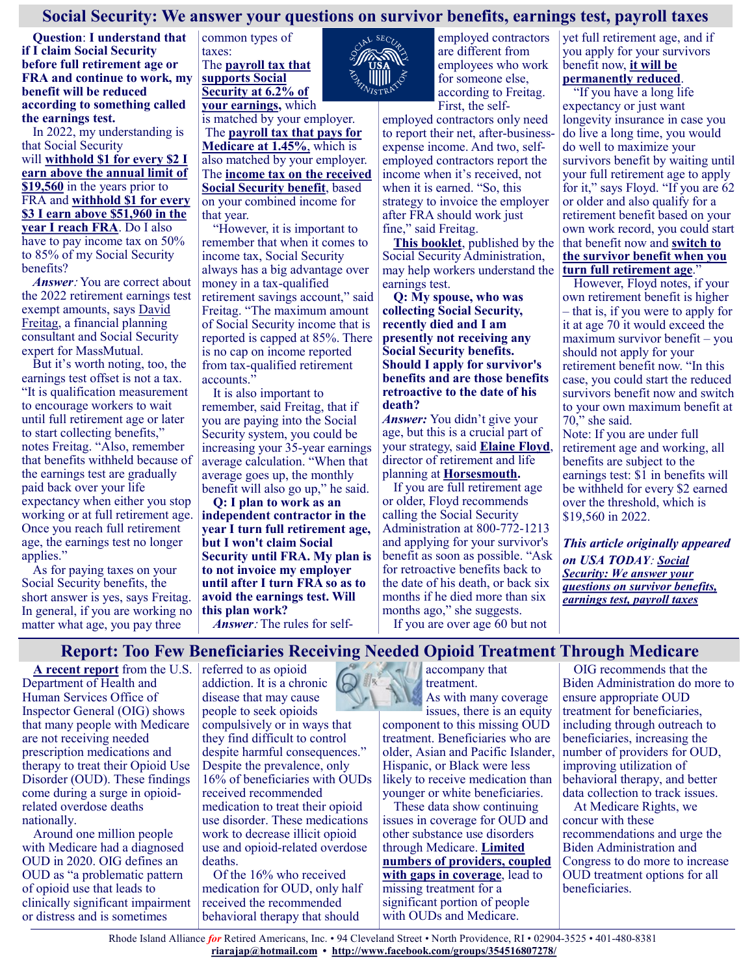# **Social Security: We answer your questions on survivor benefits, earnings test, payroll taxes**

**Question**: **I understand that if I claim Social Security before full retirement age or FRA and continue to work, my benefit will be reduced according to something called the earnings test.**

In 2022, my understanding is that Social Security will **[withhold \\$1 for every \\$2 I](https://www.ssa.gov/benefits/retirement/planner/whileworking.html#:~:text=If%20you%20are%20under%20full,earn%20above%20a%20different%20limit.)  [earn above the annual limit of](https://www.ssa.gov/benefits/retirement/planner/whileworking.html#:~:text=If%20you%20are%20under%20full,earn%20above%20a%20different%20limit.)  [\\$19,560](https://www.ssa.gov/benefits/retirement/planner/whileworking.html#:~:text=If%20you%20are%20under%20full,earn%20above%20a%20different%20limit.)** in the years prior to FRA and **[withhold \\$1 for every](https://www.ssa.gov/benefits/retirement/planner/whileworking.html#:~:text=In%20the%20year%20you%20reach,on%20your%20earnings%20is%20%2451%2C960.&text=The%20special%20rule%20lets%20us,regardless%20of%20your%20yearly%20earnings.)  [\\$3 I earn above \\$51,960 in the](https://www.ssa.gov/benefits/retirement/planner/whileworking.html#:~:text=In%20the%20year%20you%20reach,on%20your%20earnings%20is%20%2451%2C960.&text=The%20special%20rule%20lets%20us,regardless%20of%20your%20yearly%20earnings.)  [year I reach FRA](https://www.ssa.gov/benefits/retirement/planner/whileworking.html#:~:text=In%20the%20year%20you%20reach,on%20your%20earnings%20is%20%2451%2C960.&text=The%20special%20rule%20lets%20us,regardless%20of%20your%20yearly%20earnings.)**. Do I also have to pay income tax on 50% to 85% of my Social Security benefits?

*Answer*: You are correct about the 2022 retirement earnings test exempt amounts, says [David](https://blog.massmutual.com/author/david-freitag)  [Freitag,](https://blog.massmutual.com/author/david-freitag) a financial planning consultant and Social Security expert for MassMutual.

But it's worth noting, too, the earnings test offset is not a tax. "It is qualification measurement to encourage workers to wait until full retirement age or later to start collecting benefits," notes Freitag. "Also, remember that benefits withheld because of the earnings test are gradually paid back over your life expectancy when either you stop working or at full retirement age. Once you reach full retirement age, the earnings test no longer applies."

As for paying taxes on your Social Security benefits, the short answer is yes, says Freitag. In general, if you are working no matter what age, you pay three

common types of taxes: The **[payroll tax that](https://www.irs.gov/taxtopics/tc751)  [supports Social](https://www.irs.gov/taxtopics/tc751)  [Security at 6.2% of](https://www.irs.gov/taxtopics/tc751)  [your earnings,](https://www.irs.gov/taxtopics/tc751)** which

is matched by your employer. The **[payroll tax that pays for](https://www.irs.gov/taxtopics/tc751)  [Medicare at 1.45%](https://www.irs.gov/taxtopics/tc751)**, which is also matched by your employer. The **[income tax on the received](https://www.ssa.gov/benefits/retirement/planner/taxes.html)  [Social Security benefit](https://www.ssa.gov/benefits/retirement/planner/taxes.html)**, based on your combined income for that year.

"However, it is important to remember that when it comes to income tax, Social Security always has a big advantage over money in a tax-qualified retirement savings account," said Freitag. "The maximum amount of Social Security income that is reported is capped at 85%. There is no cap on income reported from tax-qualified retirement accounts.'

It is also important to remember, said Freitag, that if you are paying into the Social Security system, you could be increasing your 35-year earnings average calculation. "When that average goes up, the monthly benefit will also go up," he said.

**Q: I plan to work as an independent contractor in the year I turn full retirement age, but I won't claim Social Security until FRA. My plan is to not invoice my employer until after I turn FRA so as to avoid the earnings test. Will this plan work?**

*Answer*: The rules for self-



employed contractors are different from employees who work for someone else, according to Freitag. First, the self-

employed contractors only need to report their net, after-businessexpense income. And two, selfemployed contractors report the income when it's received, not when it is earned. "So, this strategy to invoice the employer after FRA should work just fine," said Freitag.

**[This booklet](https://www.ssa.gov/pubs/EN-05-10069.pdf)**, published by the Social Security Administration, may help workers understand the earnings test.

**Q: My spouse, who was collecting Social Security, recently died and I am presently not receiving any Social Security benefits. Should I apply for survivor's benefits and are those benefits retroactive to the date of his death?**

*Answer:* You didn't give your age, but this is a crucial part of your strategy, said **[Elaine Floyd](https://content.investmentsandwealth.org/elaine-floyd)**, director of retirement and life planning at **[Horsesmouth.](https://www.horsesmouth.com/)**

If you are full retirement age or older, Floyd recommends calling the Social Security Administration at 800-772-1213 and applying for your survivor's benefit as soon as possible. "Ask for retroactive benefits back to the date of his death, or back six months if he died more than six months ago," she suggests.

If you are over age 60 but not

yet full retirement age, and if you apply for your survivors benefit now, **[it will be](https://www.ssa.gov/benefits/survivors/survivorchartred.html)  [permanently reduced](https://www.ssa.gov/benefits/survivors/survivorchartred.html)**.

"If you have a long life expectancy or just want longevity insurance in case you do live a long time, you would do well to maximize your survivors benefit by waiting until your full retirement age to apply for it," says Floyd. "If you are 62 or older and also qualify for a retirement benefit based on your own work record, you could start that benefit now and **[switch to](https://www.ssa.gov/benefits/survivors/1945s.html#:~:text=Full%20Retirement%20Age%20for%20Survivors%20Born%20Between%201945%20And%201956,on%20age%20is%20age%2060.&text=62%2C%20you%20will%20get%2081.0,for%20an%20additional%2048%20months.)  [the survivor benefit when you](https://www.ssa.gov/benefits/survivors/1945s.html#:~:text=Full%20Retirement%20Age%20for%20Survivors%20Born%20Between%201945%20And%201956,on%20age%20is%20age%2060.&text=62%2C%20you%20will%20get%2081.0,for%20an%20additional%2048%20months.)  [turn full retirement age](https://www.ssa.gov/benefits/survivors/1945s.html#:~:text=Full%20Retirement%20Age%20for%20Survivors%20Born%20Between%201945%20And%201956,on%20age%20is%20age%2060.&text=62%2C%20you%20will%20get%2081.0,for%20an%20additional%2048%20months.)**."

However, Floyd notes, if your own retirement benefit is higher – that is, if you were to apply for it at age 70 it would exceed the maximum survivor benefit – you should not apply for your retirement benefit now. "In this case, you could start the reduced survivors benefit now and switch to your own maximum benefit at 70," she said.

Note: If you are under full retirement age and working, all benefits are subject to the earnings test: \$1 in benefits will be withheld for every \$2 earned over the threshold, which is \$19,560 in 2022.

*This article originally appeared on USA TODAY*: *[Social](https://www.usatoday.com/story/money/personalfinance/retirement/2022/01/07/social-security-benefits-2022/9119110002/)  [Security: We answer your](https://www.usatoday.com/story/money/personalfinance/retirement/2022/01/07/social-security-benefits-2022/9119110002/)  [questions on survivor benefits,](https://www.usatoday.com/story/money/personalfinance/retirement/2022/01/07/social-security-benefits-2022/9119110002/)  [earnings test, payroll taxes](https://www.usatoday.com/story/money/personalfinance/retirement/2022/01/07/social-security-benefits-2022/9119110002/)*

**Report: Too Few Beneficiaries Receiving Needed Opioid Treatment Through Medicare**

**[A recent report](https://oig.hhs.gov/oei/reports/OEI-02-20-00390.asp)** from the U.S. Department of Health and Human Services Office of Inspector General (OIG) shows that many people with Medicare are not receiving needed prescription medications and therapy to treat their Opioid Use Disorder (OUD). These findings come during a surge in opioidrelated overdose deaths nationally.

Around one million people with Medicare had a diagnosed OUD in 2020. OIG defines an OUD as "a problematic pattern of opioid use that leads to clinically significant impairment or distress and is sometimes

referred to as opioid addiction. It is a chronic disease that may cause people to seek opioids compulsively or in ways that they find difficult to control despite harmful consequences." Despite the prevalence, only 16% of beneficiaries with OUDs received recommended medication to treat their opioid use disorder. These medications work to decrease illicit opioid use and opioid-related overdose deaths.

Of the 16% who received medication for OUD, only half received the recommended behavioral therapy that should

accompany that treatment.

As with many coverage issues, there is an equity component to this missing OUD treatment. Beneficiaries who are older, Asian and Pacific Islander, Hispanic, or Black were less likely to receive medication than younger or white beneficiaries.

These data show continuing issues in coverage for OUD and other substance use disorders through Medicare. **[Limited](https://www.medicarerights.org/medicare-watch/2021/02/18/legal-action-center-calls-for-better-medicare-coverage-for-substance-use-disorder-treatments)  [numbers of providers, coupled](https://www.medicarerights.org/medicare-watch/2021/02/18/legal-action-center-calls-for-better-medicare-coverage-for-substance-use-disorder-treatments)  [with gaps in coverage](https://www.medicarerights.org/medicare-watch/2021/02/18/legal-action-center-calls-for-better-medicare-coverage-for-substance-use-disorder-treatments)**, lead to missing treatment for a significant portion of people with OUDs and Medicare.

OIG recommends that the Biden Administration do more to ensure appropriate OUD treatment for beneficiaries, including through outreach to beneficiaries, increasing the number of providers for OUD, improving utilization of behavioral therapy, and better data collection to track issues.

At Medicare Rights, we concur with these recommendations and urge the Biden Administration and Congress to do more to increase OUD treatment options for all beneficiaries.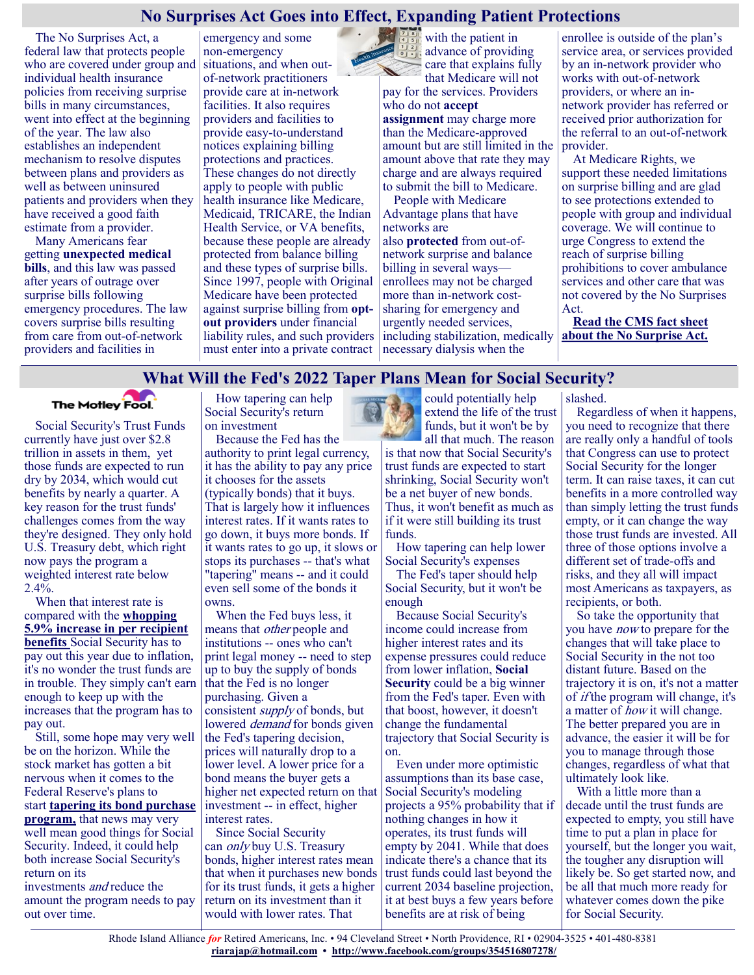## **No Surprises Act Goes into Effect, Expanding Patient Protections**

The No Surprises Act, a federal law that protects people who are covered under group and individual health insurance policies from receiving surprise bills in many circumstances, went into effect at the beginning of the year. The law also establishes an independent mechanism to resolve disputes between plans and providers as well as between uninsured patients and providers when they have received a good faith estimate from a provider.

Many Americans fear getting **[unexpected medical](https://www.kff.org/health-costs/press-release/a-polling-surprise-americans-rank-unexpected-medical-bills-at-top-of-family-budget-worries/)  [bills](https://www.kff.org/health-costs/press-release/a-polling-surprise-americans-rank-unexpected-medical-bills-at-top-of-family-budget-worries/)**, and this law was passed after years of outrage over surprise bills following emergency procedures. The law covers surprise bills resulting from care from out-of-network providers and facilities in

emergency and some non-emergency situations, and when outof-network practitioners provide care at in-network facilities. It also requires providers and facilities to provide easy-to-understand notices explaining billing protections and practices. These changes do not directly apply to people with public health insurance like Medicare, Medicaid, TRICARE, the Indian Health Service, or VA benefits, because these people are already protected from balance billing and these types of surprise bills. Since 1997, people with Original Medicare have been protected against surprise billing from **[opt](https://www.medicare.gov/forms-help-resources/find-providers-whove-opted-out-of-medicare)[out providers](https://www.medicare.gov/forms-help-resources/find-providers-whove-opted-out-of-medicare)** under financial liability rules, and such providers must enter into a private contract



 $\mathbb{Z}$  is with the patient in advance of providing care that explains fully that Medicare will not

pay for the services. Providers who do not **[accept](https://www.medicareinteractive.org/get-answers/medicare-covered-services/outpatient-provider-services/participating-non-participating-and-opt-out-providers)  [assignment](https://www.medicareinteractive.org/get-answers/medicare-covered-services/outpatient-provider-services/participating-non-participating-and-opt-out-providers)** may charge more than the Medicare-approved amount but are still limited in the amount above that rate they may charge and are always required to submit the bill to Medicare.

People with Medicare Advantage plans that have networks are also **[protected](https://www.cms.gov/Regulations-and-Guidance/Guidance/Manuals/Downloads/mc86c04.pdf)** from out-ofnetwork surprise and balance billing in several ways enrollees may not be charged more than in-network costsharing for emergency and urgently needed services, including stabilization, medically necessary dialysis when the

enrollee is outside of the plan's service area, or services provided by an in-network provider who works with out-of-network providers, or where an innetwork provider has referred or received prior authorization for the referral to an out-of-network provider.

At Medicare Rights, we support these needed limitations on surprise billing and are glad to see protections extended to people with group and individual coverage. We will continue to urge Congress to extend the reach of surprise billing prohibitions to cover ambulance services and other care that was not covered by the No Surprises Act.

**[Read the CMS fact sheet](https://www.cms.gov/newsroom/fact-sheets/no-surprises-understand-your-rights-against-surprise-medical-bills)  [about the No Surprise Act.](https://www.cms.gov/newsroom/fact-sheets/no-surprises-understand-your-rights-against-surprise-medical-bills)**

## **What Will the Fed's 2022 Taper Plans Mean for Social Security?**

**The Motley Fool.** 

Social Security's Trust Funds currently have just over \$2.8 trillion in assets in them, yet those funds are expected to run dry by 2034, which would cut benefits by nearly a quarter. A key reason for the trust funds' challenges comes from the way they're designed. They only hold U.S. Treasury debt, which right now pays the program a weighted interest rate below  $2.4\%$ .

When that interest rate is compared with the **[whopping](https://www.fool.com/investing/2021/12/25/social-securitys-record-2022-increase-isnt-all-its/?utm_source=msnrss&utm_medium=feed&utm_campaign=article&referring_guid=0530bd44-8a0b-41f4-9ea2-c23f259d0db2)  [5.9% increase in per recipient](https://www.fool.com/investing/2021/12/25/social-securitys-record-2022-increase-isnt-all-its/?utm_source=msnrss&utm_medium=feed&utm_campaign=article&referring_guid=0530bd44-8a0b-41f4-9ea2-c23f259d0db2)  [benefits](https://www.fool.com/investing/2021/12/25/social-securitys-record-2022-increase-isnt-all-its/?utm_source=msnrss&utm_medium=feed&utm_campaign=article&referring_guid=0530bd44-8a0b-41f4-9ea2-c23f259d0db2)** Social Security has to pay out this year due to inflation, it's no wonder the trust funds are in trouble. They simply can't earn enough to keep up with the increases that the program has to pay out.

Still, some hope may very well be on the horizon. While the stock market has gotten a bit nervous when it comes to the Federal Reserve's plans to start **[tapering its bond purchase](https://www.fool.com/investing/2021/12/21/ignore-fed-investors-focus-on-surefire-strategy/?utm_source=msnrss&utm_medium=feed&utm_campaign=article&referring_guid=0530bd44-8a0b-41f4-9ea2-c23f259d0db2)  [program,](https://www.fool.com/investing/2021/12/21/ignore-fed-investors-focus-on-surefire-strategy/?utm_source=msnrss&utm_medium=feed&utm_campaign=article&referring_guid=0530bd44-8a0b-41f4-9ea2-c23f259d0db2)** that news may very well mean good things for Social Security. Indeed, it could help both increase Social Security's return on its investments and reduce the amount the program needs to pay out over time.

How tapering can help Social Security's return on investment

Because the Fed has the authority to print legal currency, it has the ability to pay any price it chooses for the assets (typically bonds) that it buys. That is largely how it influences interest rates. If it wants rates to go down, it buys more bonds. If it wants rates to go up, it slows or stops its purchases -- that's what "tapering" means -- and it could even sell some of the bonds it owns.

When the Fed buys less, it means that other people and institutions -- ones who can't print legal money -- need to step up to buy the supply of bonds that the Fed is no longer purchasing. Given a consistent supply of bonds, but lowered *demand* for bonds given the Fed's tapering decision, prices will naturally drop to a lower level. A lower price for a bond means the buyer gets a higher net expected return on that investment -- in effect, higher interest rates.

Since Social Security can only buy U.S. Treasury bonds, higher interest rates mean that when it purchases new bonds for its trust funds, it gets a higher return on its investment than it would with lower rates. That

could potentially help extend the life of the trust funds, but it won't be by

all that much. The reason is that now that Social Security's trust funds are expected to start shrinking, Social Security won't be a net buyer of new bonds. Thus, it won't benefit as much as if it were still building its trust funds.

How tapering can help lower Social Security's expenses

The Fed's taper should help Social Security, but it won't be enough

Because Social Security's income could increase from higher interest rates and its expense pressures could reduce from lower inflation, **[Social](https://www.fool.com/retirement/social-security/?utm_source=msnrss&utm_medium=feed&utm_campaign=article&referring_guid=0530bd44-8a0b-41f4-9ea2-c23f259d0db2)  [Security](https://www.fool.com/retirement/social-security/?utm_source=msnrss&utm_medium=feed&utm_campaign=article&referring_guid=0530bd44-8a0b-41f4-9ea2-c23f259d0db2)** could be a big winner from the Fed's taper. Even with that boost, however, it doesn't change the fundamental trajectory that Social Security is on.

Even under more optimistic assumptions than its base case, Social Security's modeling projects a 95% probability that if nothing changes in how it operates, its trust funds will empty by 2041. While that does indicate there's a chance that its trust funds could last beyond the current 2034 baseline projection, it at best buys a few years before benefits are at risk of being

slashed.

Regardless of when it happens, you need to recognize that there are really only a handful of tools that Congress can use to protect Social Security for the longer term. It can raise taxes, it can cut benefits in a more controlled way than simply letting the trust funds empty, or it can change the way those trust funds are invested. All three of those options involve a different set of trade-offs and risks, and they all will impact most Americans as taxpayers, as recipients, or both.

So take the opportunity that you have now to prepare for the changes that will take place to Social Security in the not too distant future. Based on the trajectory it is on, it's not a matter of if the program will change, it's a matter of *how* it will change. The better prepared you are in advance, the easier it will be for you to manage through those changes, regardless of what that ultimately look like.

With a little more than a decade until the trust funds are expected to empty, you still have time to put a plan in place for yourself, but the longer you wait, the tougher any disruption will likely be. So get started now, and be all that much more ready for whatever comes down the pike for Social Security.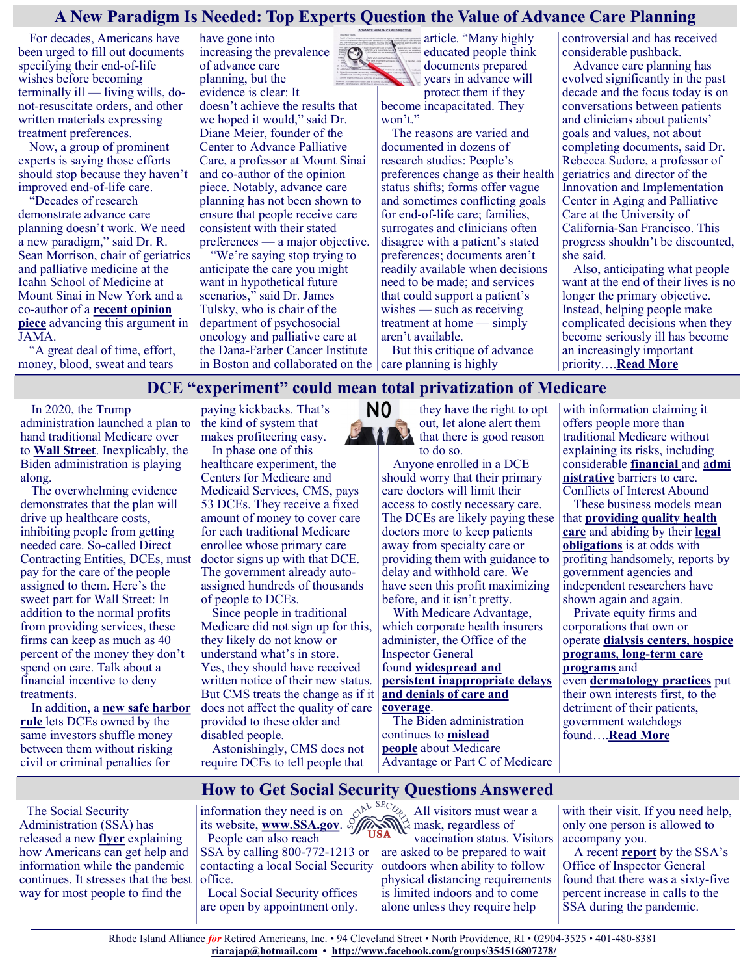# **A New Paradigm Is Needed: Top Experts Question the Value of Advance Care Planning**

For decades, Americans have been urged to fill out documents specifying their end-of-life wishes before becoming terminally ill — living wills, donot-resuscitate orders, and other written materials expressing treatment preferences.

Now, a group of prominent experts is saying those efforts should stop because they haven't improved end-of-life care.

"Decades of research demonstrate advance care planning doesn't work. We need a new paradigm," said Dr. R. Sean Morrison, chair of geriatrics and palliative medicine at the Icahn School of Medicine at Mount Sinai in New York and a co-author of a **[recent opinion](https://jamanetwork.com/journals/jama/fullarticle/2785148)  [piece](https://jamanetwork.com/journals/jama/fullarticle/2785148)** advancing this argument in JAMA.

"A great deal of time, effort, money, blood, sweat and tears

have gone into increasing the prevalence of advance care planning, but the evidence is clear: It

doesn't achieve the results that we hoped it would," said Dr. Diane Meier, founder of the Center to Advance Palliative Care, a professor at Mount Sinai and co-author of the opinion piece. Notably, advance care planning has not been shown to ensure that people receive care consistent with their stated preferences — a major objective.

"We're saying stop trying to anticipate the care you might want in hypothetical future scenarios," said Dr. James Tulsky, who is chair of the department of psychosocial oncology and palliative care at the Dana-Farber Cancer Institute in Boston and collaborated on the  $\vert$  care planning is highly



article. "Many highly educated people think documents prepared years in advance will protect them if they become incapacitated. They won't."

The reasons are varied and documented in dozens of research studies: People's preferences change as their health status shifts; forms offer vague and sometimes conflicting goals for end-of-life care; families, surrogates and clinicians often disagree with a patient's stated preferences; documents aren't readily available when decisions need to be made; and services that could support a patient's wishes — such as receiving treatment at home — simply aren't available.

But this critique of advance

controversial and has received considerable pushback.

Advance care planning has evolved significantly in the past decade and the focus today is on conversations between patients and clinicians about patients' goals and values, not about completing documents, said Dr. Rebecca Sudore, a professor of geriatrics and director of the Innovation and Implementation Center in Aging and Palliative Care at the University of California-San Francisco. This progress shouldn't be discounted, she said.

Also, anticipating what people want at the end of their lives is no longer the primary objective. Instead, helping people make complicated decisions when they become seriously ill has become an increasingly important priority….**[Read More](https://khn.org/news/article/advance-care-planning-palliative-care-experts-paradigm-shift/)**

# **DCE "experiment" could mean total privatization of Medicare**N0

In 2020, the Trump administration launched a plan to hand traditional Medicare over to **[Wall Street](https://theintercept.com/2021/12/14/medicare-privatized-health-care-insurance-direct-contracting-ethics/)**. Inexplicably, the Biden administration is playing along.

The overwhelming evidence demonstrates that the plan will drive up healthcare costs, inhibiting people from getting needed care. So-called Direct Contracting Entities, DCEs, must pay for the care of the people assigned to them. Here's the sweet part for Wall Street: In addition to the normal profits from providing services, these firms can keep as much as 40 percent of the money they don't spend on care. Talk about a financial incentive to deny treatments.

In addition, a **[new safe harbor](https://www.law.cornell.edu/cfr/text/42/1001.952)  [rule](https://www.law.cornell.edu/cfr/text/42/1001.952)** lets DCEs owned by the same investors shuffle money between them without risking civil or criminal penalties for

paying kickbacks. That's the kind of system that makes profiteering easy.

In phase one of this healthcare experiment, the Centers for Medicare and Medicaid Services, CMS, pays 53 DCEs. They receive a fixed amount of money to cover care for each traditional Medicare enrollee whose primary care doctor signs up with that DCE. The government already autoassigned hundreds of thousands of people to DCEs.

Since people in traditional Medicare did not sign up for this, they likely do not know or understand what's in store. Yes, they should have received written notice of their new status. But CMS treats the change as if it does not affect the quality of care provided to these older and disabled people.

Astonishingly, CMS does not require DCEs to tell people that



Anyone enrolled in a DCE should worry that their primary care doctors will limit their access to costly necessary care. The DCEs are likely paying these doctors more to keep patients away from specialty care or providing them with guidance to

delay and withhold care. We have seen this profit maximizing before, and it isn't pretty.

With Medicare Advantage, which corporate health insurers administer, the Office of the Inspector General found **[widespread and](https://oig.hhs.gov/oei/reports/oei-09-16-00410.pdf)  [persistent inappropriate delays](https://oig.hhs.gov/oei/reports/oei-09-16-00410.pdf)  [and denials of care and](https://oig.hhs.gov/oei/reports/oei-09-16-00410.pdf)  [coverage](https://oig.hhs.gov/oei/reports/oei-09-16-00410.pdf)**.

The Biden administration continues to **[mislead](https://www.medicare.gov/Pubs/pdf/12106-Medicare-Advantage-ESRD.pdf)  [people](https://www.medicare.gov/Pubs/pdf/12106-Medicare-Advantage-ESRD.pdf)** about Medicare Advantage or Part C of Medicare

with information claiming it offers people more than traditional Medicare without explaining its risks, including considerable **[financial](https://www.kff.org/medicare/issue-brief/cost-related-problems-are-less-common-among-beneficiaries-in-traditional-medicare-than-in-medicare-advantage-mainly-due-to-supplemental-coverage/)** and **[admi](https://www.kff.org/medicare/issue-brief/prior-authorization-in-medicare-advantage-plans-how-often-is-it-used/) [nistrative](https://www.kff.org/medicare/issue-brief/prior-authorization-in-medicare-advantage-plans-how-often-is-it-used/)** barriers to care. Conflicts of Interest Abound

These business models mean that **[providing quality health](https://justcareusa.org/high-proportion-of-people-flee-medicare-advantage-at-end-of-life/)  [care](https://justcareusa.org/high-proportion-of-people-flee-medicare-advantage-at-end-of-life/)** and abiding by their **[legal](https://www.brown.senate.gov/newsroom/press/release/brown-colleagues-urge-cms-to-investigate-medicare-advantage-overbilling-protect-taxpayer-dollars-and-improve-care-for-older-ohioans)  [obligations](https://www.brown.senate.gov/newsroom/press/release/brown-colleagues-urge-cms-to-investigate-medicare-advantage-overbilling-protect-taxpayer-dollars-and-improve-care-for-older-ohioans)** is at odds with profiting handsomely, reports by government agencies and independent researchers have shown again and again.

Private equity firms and corporations that own or operate **[dialysis centers](https://justcareusa.org/for-profit-dialysis-care-puts-off-transplants/)**, **[hospice](https://www.washingtonpost.com/news/wonk/wp/2016/09/15/how-tens-of-thousands-of-patients-who-werent-actually-dying-wound-up-on-hospice-care/)  [programs](https://www.washingtonpost.com/news/wonk/wp/2016/09/15/how-tens-of-thousands-of-patients-who-werent-actually-dying-wound-up-on-hospice-care/)**, **long-[term care](https://www.marketwatch.com/story/profits-and-pain-backed-by-d-c-power-players-and-private-equity-a-healthcare-provider-is-under-scrutiny-for-failing-fragile-seniors-11636636872)  [programs](https://www.marketwatch.com/story/profits-and-pain-backed-by-d-c-power-players-and-private-equity-a-healthcare-provider-is-under-scrutiny-for-failing-fragile-seniors-11636636872)** and even **[dermatology practices](https://www.nbcnews.com/health/health-care/get-money-dermatologist-says-patient-care-suffered-private-equity-back-rcna9152)** put

their own interests first, to the detriment of their patients, government watchdogs found….**[Read More](https://justcareusa.org/dce-experiment-could-mean-total-privatization-of-medicare/)**

# **How to Get Social Security Questions Answered**

The Social Security Administration (SSA) has released a new **[flyer](https://u1584542.ct.sendgrid.net/ss/c/atcYNHk4Eh2YdGnwBh-YDH47-86-l9pro9D76mgXk06S9JJw76BhrEbPp-shObDHGf4ZXVdQ2-0vQao-pPizauDVIUNvMBBZbXOlbnO9KV6Ip67GdbNlMkyL9JjgP9h1EAcZ_xTy_aQnHW5PeW_1LLgj9329_Ycj8sNqrp0ZwsXVhT3pnlJbe6zDCz7W7LutnkU23QmJuDqF4DfxqBBiKp7fQaGko)** explaining how Americans can get help and information while the pandemic continues. It stresses that the best way for most people to find the

information they need is on its website, **[www.SSA.gov](https://u1584542.ct.sendgrid.net/ss/c/mRshnjzLbfRUAJcmEcvG0-VZGfTdsjYsrrq99eCIVtK-LQkzs0-DlFJw-hK2CcK3OpW8Ae5tggrVlMuEnQC_xpkWvIQ6Ve4NDURFb9KXL9VmZ1lkkKonycutcyCilc26NQZGp_rkxZBHA3rSyVuHVhph4V3BjmG3SBoS6c-uxEuep0MjsXv5R3DJxnQXB6_WBGtelv0kMIeFsY7Ou6AoBs72TEOYG)**. People can also reach SSA by calling 800-772-1213 or contacting a local Social Security office.

Local Social Security offices are open by appointment only. All visitors must wear a mask, regardless of

vaccination status. Visitors are asked to be prepared to wait outdoors when ability to follow physical distancing requirements is limited indoors and to come alone unless they require help

with their visit. If you need help, only one person is allowed to accompany you.

A recent **[report](https://u1584542.ct.sendgrid.net/ss/c/nIATlT34azO8Uq6tATWtxOJuZfxerQC4u04McHntAz0CrcKWuGIbVP0SwzIUZ5r_TghrzMZyKdmfOLt_Vv-Sd3XNLBKB9S8hfmaBc5cHONL5U6YPA-jKa_Nzl6XfL_kpV5OJjesUD1dwjllGkzPmecWkRcdvfDejabJACbkghEJLTzr_lsIuK8gpd0uiOYzBeBOX5tDhDaavxo82EondK5wdPVRmq)** by the SSA's Office of Inspector General found that there was a sixty-five percent increase in calls to the SSA during the pandemic.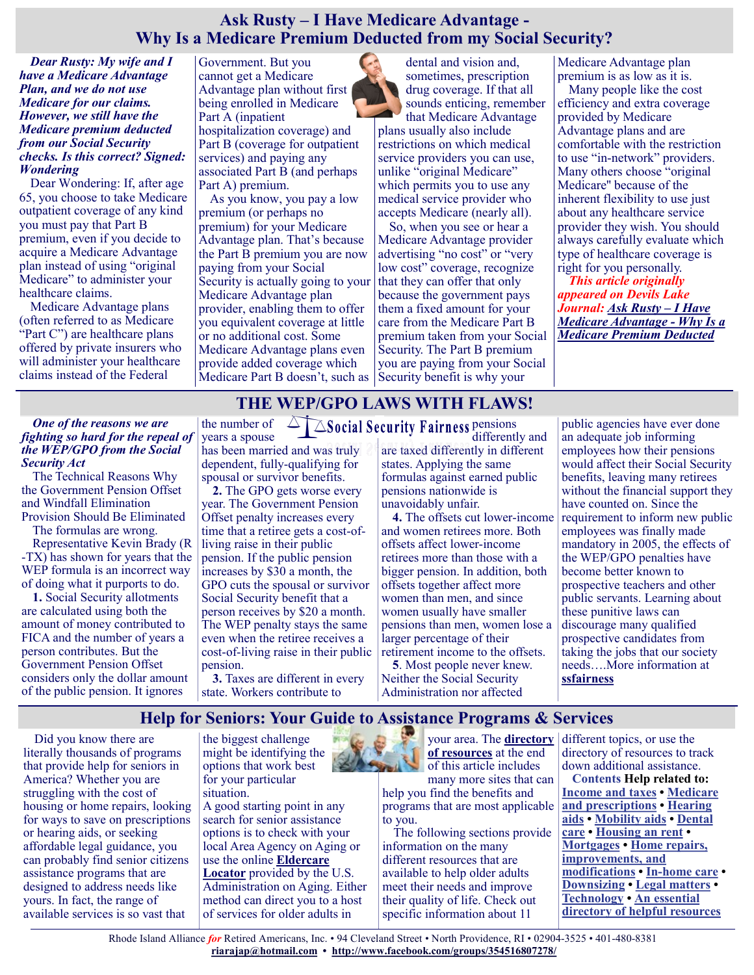# **Ask Rusty – I Have Medicare Advantage - Why Is a Medicare Premium Deducted from my Social Security?**

*Dear Rusty: My wife and I have a Medicare Advantage Plan, and we do not use Medicare for our claims. However, we still have the Medicare premium deducted from our Social Security checks. Is this correct? Signed: Wondering*

Dear Wondering: If, after age 65, you choose to take Medicare outpatient coverage of any kind you must pay that Part B premium, even if you decide to acquire a Medicare Advantage plan instead of using "original Medicare" to administer your healthcare claims.

Medicare Advantage plans (often referred to as Medicare "Part C") are healthcare plans offered by private insurers who will administer your healthcare claims instead of the Federal

Government. But you cannot get a Medicare Advantage plan without first being enrolled in Medicare Part A (inpatient hospitalization coverage) and Part B (coverage for outpatient services) and paying any associated Part B (and perhaps Part A) premium.

As you know, you pay a low premium (or perhaps no premium) for your Medicare Advantage plan. That's because the Part B premium you are now paying from your Social Security is actually going to your Medicare Advantage plan provider, enabling them to offer you equivalent coverage at little or no additional cost. Some Medicare Advantage plans even provide added coverage which Medicare Part B doesn't, such as Security benefit is why your

dental and vision and, sometimes, prescription drug coverage. If that all sounds enticing, remember that Medicare Advantage

plans usually also include restrictions on which medical service providers you can use, unlike "original Medicare" which permits you to use any medical service provider who accepts Medicare (nearly all).

So, when you see or hear a Medicare Advantage provider advertising "no cost" or "very low cost" coverage, recognize that they can offer that only because the government pays them a fixed amount for your care from the Medicare Part B premium taken from your Social Security. The Part B premium you are paying from your Social

Medicare Advantage plan premium is as low as it is.

Many people like the cost efficiency and extra coverage provided by Medicare Advantage plans and are comfortable with the restriction to use "in-network" providers. Many others choose "original Medicare'' because of the inherent flexibility to use just about any healthcare service provider they wish. You should always carefully evaluate which type of healthcare coverage is right for you personally.

*This article originally appeared on Devils Lake Journal: [Ask Rusty –](https://www.devilslakejournal.com/story/lifestyle/2022/01/07/why-medicare-premium-deducted-my-social-security/9089413002/) I Have [Medicare Advantage](https://www.devilslakejournal.com/story/lifestyle/2022/01/07/why-medicare-premium-deducted-my-social-security/9089413002/) - Why Is a [Medicare Premium Deducted](https://www.devilslakejournal.com/story/lifestyle/2022/01/07/why-medicare-premium-deducted-my-social-security/9089413002/)*

# **THE WEP/GPO LAWS WITH FLAWS!**

#### *One of the reasons we are fighting so hard for the repeal of the WEP/GPO from the Social Security Act*

The Technical Reasons Why the Government Pension Offset and Windfall Elimination Provision Should Be Eliminated

The formulas are wrong.

Representative Kevin Brady (R -TX) has shown for years that the WEP formula is an incorrect way of doing what it purports to do.

**1.** Social Security allotments are calculated using both the amount of money contributed to FICA and the number of years a person contributes. But the Government Pension Offset considers only the dollar amount of the public pension. It ignores

years a spouse has been married and was truly dependent, fully-qualifying for spousal or survivor benefits.

**2.** The GPO gets worse every year. The Government Pension Offset penalty increases every time that a retiree gets a cost-ofliving raise in their public pension. If the public pension increases by \$30 a month, the GPO cuts the spousal or survivor Social Security benefit that a person receives by \$20 a month. The WEP penalty stays the same even when the retiree receives a cost-of-living raise in their public pension.

**3.** Taxes are different in every state. Workers contribute to

the number of  $\triangle\Box\triangle$  Social Security Fairness pensions differently and [are taxed differen](https://ssfairness.org/)tly in different states. Applying the same formulas against earned public pensions nationwide is unavoidably unfair.

**4.** The offsets cut lower-income and women retirees more. Both offsets affect lower-income retirees more than those with a bigger pension. In addition, both offsets together affect more women than men, and since women usually have smaller pensions than men, women lose a larger percentage of their retirement income to the offsets.

**5**. Most people never knew. Neither the Social Security Administration nor affected

public agencies have ever done an adequate job informing employees how their pensions would affect their Social Security benefits, leaving many retirees without the financial support they have counted on. Since the requirement to inform new public employees was finally made mandatory in 2005, the effects of the WEP/GPO penalties have become better known to prospective teachers and other public servants. Learning about these punitive laws can discourage many qualified prospective candidates from taking the jobs that our society needs….More information at **[ssfairness](https://ssfairness.org/)**

# **Help for Seniors: Your Guide to Assistance Programs & Services**

Did you know there are literally thousands of programs that provide help for seniors in America? Whether you are struggling with the cost of housing or home repairs, looking for ways to save on prescriptions or hearing aids, or seeking affordable legal guidance, you can probably find senior citizens assistance programs that are designed to address needs like yours. In fact, the range of available services is so vast that

the biggest challenge might be identifying the options that work best for your particular situation.

A good starting point in any search for senior assistance options is to check with your local Area Agency on Aging or use the online **[Eldercare](https://eldercare.acl.gov/Public/Index.aspx)  [Locator](https://eldercare.acl.gov/Public/Index.aspx)** provided by the U.S. Administration on Aging. Either method can direct you to a host of services for older adults in



**[of resources](https://www.greatseniorliving.com/articles/help-for-seniors#tips)** at the end of this article includes

many more sites that can help you find the benefits and programs that are most applicable to you.

The following sections provide information on the many different resources that are available to help older adults meet their needs and improve their quality of life. Check out specific information about 11

your area. The **[directory](https://www.greatseniorliving.com/articles/help-for-seniors#tips)**  different topics, or use the directory of resources to track down additional assistance.

**Contents Help related to: [Income and taxes](https://www.greatseniorliving.com/articles/help-for-seniors#income-and-tax) • [Medicare](https://www.greatseniorliving.com/articles/help-for-seniors#medicare-and-prescription-help)  [and prescriptions](https://www.greatseniorliving.com/articles/help-for-seniors#medicare-and-prescription-help) • [Hearing](https://www.greatseniorliving.com/articles/help-for-seniors#hearing-aids)  [aids](https://www.greatseniorliving.com/articles/help-for-seniors#hearing-aids) • [Mobility aids](https://www.greatseniorliving.com/articles/help-for-seniors#mobility-aids) • [Dental](https://www.greatseniorliving.com/articles/help-for-seniors#dental-care)  [care](https://www.greatseniorliving.com/articles/help-for-seniors#dental-care) • [Housing an rent](https://www.greatseniorliving.com/articles/help-for-seniors#housing-rent) • [Mortgages](https://www.greatseniorliving.com/articles/help-for-seniors#mortgages) • [Home repairs,](https://www.greatseniorliving.com/articles/help-for-seniors#home-repairs)  [improvements, and](https://www.greatseniorliving.com/articles/help-for-seniors#home-repairs)  [modifications](https://www.greatseniorliving.com/articles/help-for-seniors#home-repairs) • In-[home care](https://www.greatseniorliving.com/articles/help-for-seniors#in-home-care) • [Downsizing](https://www.greatseniorliving.com/articles/help-for-seniors#downsizing) • [Legal matters](https://www.greatseniorliving.com/articles/help-for-seniors#legal-matters) • [Technology](https://www.greatseniorliving.com/articles/help-for-seniors#technology) • [An essential](https://www.greatseniorliving.com/articles/help-for-seniors#tips)  [directory of helpful resources](https://www.greatseniorliving.com/articles/help-for-seniors#tips)**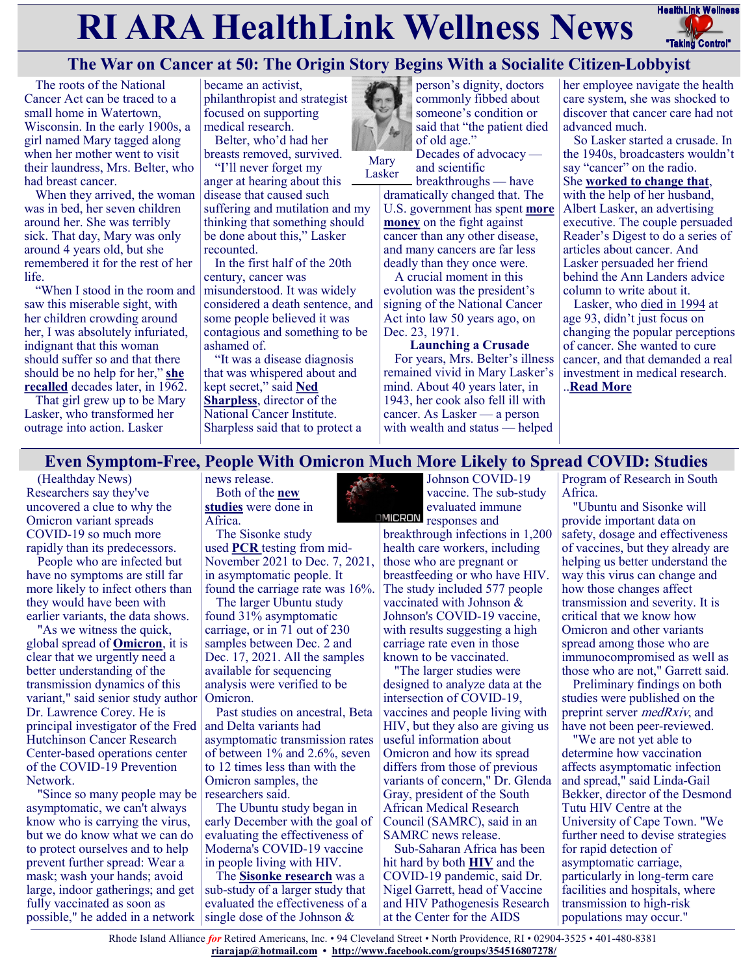# **RI ARA HealthLink Wellness News** FreathLink Wellness



# **The War on Cancer at 50: The Origin Story Begins With a Socialite Citizen-Lobbyist**

The roots of the National Cancer Act can be traced to a small home in Watertown, Wisconsin. In the early 1900s, a girl named Mary tagged along when her mother went to visit their laundress, Mrs. Belter, who had breast cancer.

When they arrived, the woman was in bed, her seven children around her. She was terribly sick. That day, Mary was only around 4 years old, but she remembered it for the rest of her life.

"When I stood in the room and saw this miserable sight, with her children crowding around her, I was absolutely infuriated, indignant that this woman should suffer so and that there should be no help for her," **[she](http://www.columbia.edu/cu/lweb/digital/collections/nny/laskerm/transcripts/laskerm_1_4_103.html)  [recalled](http://www.columbia.edu/cu/lweb/digital/collections/nny/laskerm/transcripts/laskerm_1_4_103.html)** decades later, in 1962.

That girl grew up to be Mary Lasker, who transformed her outrage into action. Lasker

became an activist, philanthropist and strategist focused on supporting medical research.

Belter, who'd had her breasts removed, survived. "I'll never forget my

anger at hearing about this disease that caused such suffering and mutilation and my thinking that something should be done about this," Lasker recounted.

In the first half of the 20th century, cancer was misunderstood. It was widely considered a death sentence, and some people believed it was contagious and something to be ashamed of.

"It was a disease diagnosis that was whispered about and kept secret," said **[Ned](https://www.cancer.gov/about-nci/leadership/director)  [Sharpless](https://www.cancer.gov/about-nci/leadership/director)**, director of the National Cancer Institute. Sharpless said that to protect a



Mary **Lasker** 

breakthroughs — have dramatically changed that. The U.S. government has spent **[more](https://officeofbudget.od.nih.gov/approp_hist.html)  [money](https://officeofbudget.od.nih.gov/approp_hist.html)** on the fight against cancer than any other disease, and many cancers are far less deadly than they once were.

and scientific

A crucial moment in this evolution was the president's signing of the National Cancer Act into law 50 years ago, on Dec. 23, 1971.

**Launching a Crusade** For years, Mrs. Belter's illness remained vivid in Mary Lasker's mind. About 40 years later, in 1943, her cook also fell ill with cancer. As Lasker — a person with wealth and status — helped

her employee navigate the health care system, she was shocked to discover that cancer care had not advanced much.

So Lasker started a crusade. In the 1940s, broadcasters wouldn't say "cancer" on the radio.

She **[worked to change that](https://www.washingtonpost.com/archive/politics/1994/02/23/philanthropist-mary-lasker-dies-at-93/3a6b32e4-b739-4a3a-a11b-5c6034d592ea/)**, with the help of her husband, Albert Lasker, an advertising executive. The couple persuaded Reader's Digest to do a series of articles about cancer. And Lasker persuaded her friend behind the Ann Landers advice column to write about it.

Lasker, who [died in 1994](https://www.nytimes.com/1994/02/23/obituaries/mary-w-lasker-philanthropist-for-medical-research-dies-at-93.html) at age 93, didn't just focus on changing the popular perceptions of cancer. She wanted to cure cancer, and that demanded a real investment in medical research. ..**[Read More](https://khn.org/news/article/the-war-on-cancer-at-50-the-origin-story-begins-with-a-socialite-citizen-lobbyist/)**

# **Even Symptom-Free, People With Omicron Much More Likely to Spread COVID: Studies**

(Healthday News) Researchers say they've uncovered a clue to why the Omicron variant spreads COVID-19 so much more rapidly than its predecessors.

People who are infected but have no symptoms are still far more likely to infect others than they would have been with earlier variants, the data shows.

"As we witness the quick, global spread of **[Omicron](https://www.cdc.gov/coronavirus/2019-ncov/variants/omicron-variant.html)**, it is clear that we urgently need a better understanding of the transmission dynamics of this variant," said senior study author Omicron. Dr. Lawrence Corey. He is principal investigator of the Fred Hutchinson Cancer Research Center-based operations center of the COVID-19 Prevention Network.

"Since so many people may be researchers said. asymptomatic, we can't always know who is carrying the virus, but we do know what we can do to protect ourselves and to help prevent further spread: Wear a mask; wash your hands; avoid large, indoor gatherings; and get fully vaccinated as soon as possible," he added in a network single dose of the Johnson  $\&$ 

news release. Both of the **[new](https://www.medrxiv.org/content/10.1101/2021.12.20.21268130v1)  [studies](https://www.medrxiv.org/content/10.1101/2021.12.20.21268130v1)** were done in Africa.

The Sisonke study used **[PCR](https://my.clevelandclinic.org/health/diagnostics/21462-covid-19-and-pcr-testing)** testing from mid-November 2021 to Dec. 7, 2021, in asymptomatic people. It found the carriage rate was 16%.

The larger Ubuntu study found 31% asymptomatic carriage, or in 71 out of 230 samples between Dec. 2 and Dec. 17, 2021. All the samples available for sequencing analysis were verified to be

Past studies on ancestral, Beta and Delta variants had asymptomatic transmission rates of between 1% and 2.6%, seven to 12 times less than with the Omicron samples, the

The Ubuntu study began in early December with the goal of evaluating the effectiveness of Moderna's COVID-19 vaccine in people living with HIV.

The **[Sisonke research](https://www.samrc.ac.za/media-release/preliminary-findings-studies-south-africa-indicate-omicron-has-much-higher-rate)** was a sub-study of a larger study that evaluated the effectiveness of a

Johnson COVID-19 vaccine. The sub-study evaluated immune **IMICRON** responses and

breakthrough infections in 1,200 health care workers, including those who are pregnant or breastfeeding or who have HIV. The study included 577 people vaccinated with Johnson & Johnson's COVID-19 vaccine, with results suggesting a high carriage rate even in those known to be vaccinated.

"The larger studies were designed to analyze data at the intersection of COVID-19, vaccines and people living with HIV, but they also are giving us useful information about Omicron and how its spread differs from those of previous variants of concern," Dr. Glenda Gray, president of the South African Medical Research Council (SAMRC), said in an SAMRC news release.

Sub-Saharan Africa has been hit hard by both **[HIV](https://www.cdc.gov/hiv/basics/whatishiv.html#:~:text=HIV%20(human%20immunodeficiency%20virus)%20is,healthy%20and%20prevent%20HIV%20transmission.)** and the COVID-19 pandemic, said Dr. Nigel Garrett, head of Vaccine and HIV Pathogenesis Research at the Center for the AIDS

Program of Research in South Africa.

"Ubuntu and Sisonke will provide important data on safety, dosage and effectiveness of vaccines, but they already are helping us better understand the way this virus can change and how those changes affect transmission and severity. It is critical that we know how Omicron and other variants spread among those who are immunocompromised as well as those who are not," Garrett said.

Preliminary findings on both studies were published on the preprint server medRxiv, and have not been peer-reviewed.

"We are not yet able to determine how vaccination affects asymptomatic infection and spread," said Linda-Gail Bekker, director of the Desmond Tutu HIV Centre at the University of Cape Town. "We further need to devise strategies for rapid detection of asymptomatic carriage, particularly in long-term care facilities and hospitals, where transmission to high-risk populations may occur."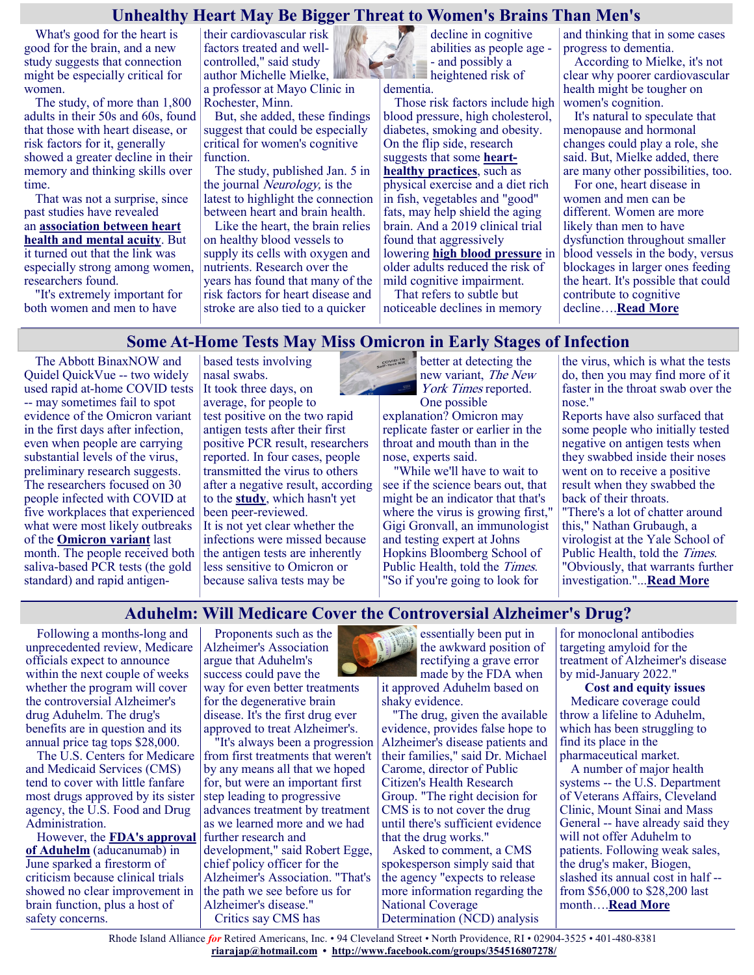### **Unhealthy Heart May Be Bigger Threat to Women's Brains Than Men's**

What's good for the heart is good for the brain, and a new study suggests that connection might be especially critical for women.

The study, of more than 1,800 adults in their 50s and 60s, found that those with heart disease, or risk factors for it, generally showed a greater decline in their memory and thinking skills over time.

That was not a surprise, since past studies have revealed an **[association between heart](https://www.cdc.gov/heartdisease/brain_health.htm)  [health and mental acuity](https://www.cdc.gov/heartdisease/brain_health.htm)**. But it turned out that the link was especially strong among women, researchers found.

"It's extremely important for both women and men to have

their cardiovascular risk factors treated and wellcontrolled," said study author Michelle Mielke, a professor at Mayo Clinic in Rochester, Minn.

But, she added, these findings suggest that could be especially critical for women's cognitive function.

The study, published Jan. 5 in the journal *Neurology*, is the latest to highlight the connection between heart and brain health.

Like the heart, the brain relies on healthy blood vessels to supply its cells with oxygen and nutrients. Research over the years has found that many of the risk factors for heart disease and stroke are also tied to a quicker

based tests involving

decline in cognitive abilities as people age - - and possibly a heightened risk of

dementia.

Those risk factors include high blood pressure, high cholesterol, diabetes, smoking and obesity. On the flip side, research suggests that some **[heart](https://health.gov/myhealthfinder/topics/health-conditions/heart-health/keep-your-heart-healthy)[healthy practices](https://health.gov/myhealthfinder/topics/health-conditions/heart-health/keep-your-heart-healthy)**, such as physical exercise and a diet rich in fish, vegetables and "good" fats, may help shield the aging brain. And a 2019 clinical trial found that aggressively lowering **[high blood pressure](https://www.nhlbi.nih.gov/files/docs/public/heart/hbp_low.pdf)** in older adults reduced the risk of mild cognitive impairment.

That refers to subtle but noticeable declines in memory and thinking that in some cases progress to dementia.

According to Mielke, it's not clear why poorer cardiovascular health might be tougher on women's cognition.

It's natural to speculate that menopause and hormonal changes could play a role, she said. But, Mielke added, there are many other possibilities, too.

For one, heart disease in women and men can be different. Women are more likely than men to have dysfunction throughout smaller blood vessels in the body, versus blockages in larger ones feeding the heart. It's possible that could contribute to cognitive decline….**[Read More](https://consumer.healthday.com/1-6-unhealthy-heart-may-be-bigger-threat-to-women-s-brains-than-men-s-2656197511.html)**

# **Some At-Home Tests May Miss Omicron in Early Stages of Infection**

The Abbott BinaxNOW and Quidel QuickVue -- two widely used rapid at-home COVID tests -- may sometimes fail to spot evidence of the Omicron variant in the first days after infection, even when people are carrying substantial levels of the virus, preliminary research suggests. The researchers focused on 30 people infected with COVID at five workplaces that experienced what were most likely outbreaks of the **[Omicron variant](https://www.cdc.gov/coronavirus/2019-ncov/variants/omicron-variant.html)** last month. The people received both saliva-based PCR tests (the gold standard) and rapid antigen-

nasal swabs. It took three days, on average, for people to test positive on the two rapid antigen tests after their first positive PCR result, researchers reported. In four cases, people transmitted the virus to others after a negative result, according to the **[study](https://www.medrxiv.org/content/10.1101/2022.01.04.22268770v1)**, which hasn't yet been peer-reviewed. It is not yet clear whether the infections were missed because the antigen tests are inherently less sensitive to Omicron or because saliva tests may be

COVID-19 better at detecting the new variant, The New York Times reported. One possible explanation? Omicron may replicate faster or earlier in the throat and mouth than in the

nose, experts said. "While we'll have to wait to see if the science bears out, that might be an indicator that that's where the virus is growing first," Gigi Gronvall, an immunologist and testing expert at Johns Hopkins Bloomberg School of Public Health, told the Times. "So if you're going to look for

the virus, which is what the tests do, then you may find more of it faster in the throat swab over the nose."

Reports have also surfaced that some people who initially tested negative on antigen tests when they swabbed inside their noses went on to receive a positive result when they swabbed the back of their throats. "There's a lot of chatter around this," Nathan Grubaugh, a virologist at the Yale School of Public Health, told the *Times*. "Obviously, that warrants further

# **Aduhelm: Will Medicare Cover the Controversial Alzheimer's Drug?**

Following a months-long and unprecedented review, Medicare officials expect to announce within the next couple of weeks whether the program will cover the controversial Alzheimer's drug Aduhelm. The drug's benefits are in question and its annual price tag tops \$28,000.

The U.S. Centers for Medicare and Medicaid Services (CMS) tend to cover with little fanfare most drugs approved by its sister agency, the U.S. Food and Drug Administration.

However, the **[FDA's approval](https://www.fda.gov/news-events/press-announcements/fda-grants-accelerated-approval-alzheimers-drug)  [of Aduhelm](https://www.fda.gov/news-events/press-announcements/fda-grants-accelerated-approval-alzheimers-drug)** (aducanumab) in June sparked a firestorm of criticism because clinical trials showed no clear improvement in brain function, plus a host of safety concerns.

Proponents such as the Alzheimer's Association argue that Aduhelm's success could pave the

way for even better treatments for the degenerative brain disease. It's the first drug ever approved to treat Alzheimer's.

"It's always been a progression from first treatments that weren't by any means all that we hoped for, but were an important first step leading to progressive advances treatment by treatment as we learned more and we had further research and development," said Robert Egge, chief policy officer for the Alzheimer's Association. "That's the path we see before us for Alzheimer's disease." Critics say CMS has

essentially been put in the awkward position of rectifying a grave error made by the FDA when it approved Aduhelm based on

shaky evidence. "The drug, given the available evidence, provides false hope to Alzheimer's disease patients and their families," said Dr. Michael Carome, director of Public Citizen's Health Research Group. "The right decision for CMS is to not cover the drug until there's sufficient evidence that the drug works."

Asked to comment, a CMS spokesperson simply said that the agency "expects to release more information regarding the National Coverage Determination (NCD) analysis

for monoclonal antibodies targeting amyloid for the treatment of Alzheimer's disease by mid-January 2022."

investigation."...**[Read More](https://consumer.healthday.com/covid-testing-2656243978.html)**

**Cost and equity issues** Medicare coverage could throw a lifeline to Aduhelm, which has been struggling to find its place in the pharmaceutical market.

A number of major health systems -- the U.S. Department of Veterans Affairs, Cleveland Clinic, Mount Sinai and Mass General -- have already said they will not offer Aduhelm to patients. Following weak sales, the drug's maker, Biogen, slashed its annual cost in half - from \$56,000 to \$28,200 last month….**[Read More](https://consumer.healthday.com/1-7-will-medicare-cover-pricey-controversial-alzheimer-s-drug-2656209796.html)**

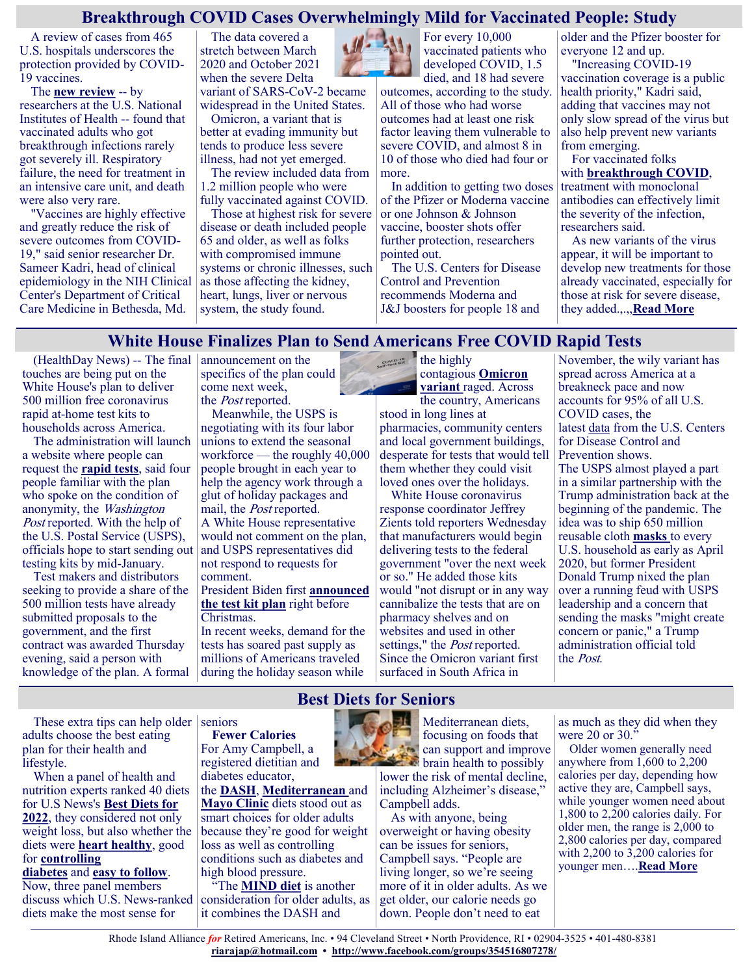# **Breakthrough COVID Cases Overwhelmingly Mild for Vaccinated People: Study**

A review of cases from 465 U.S. hospitals underscores the protection provided by COVID-19 vaccines.

The **[new review](https://www.cdc.gov/mmwr/volumes/71/wr/mm7101a4.htm)** -- by researchers at the U.S. National Institutes of Health -- found that vaccinated adults who got breakthrough infections rarely got severely ill. Respiratory failure, the need for treatment in an intensive care unit, and death were also very rare.

"Vaccines are highly effective and greatly reduce the risk of severe outcomes from COVID-19," said senior researcher Dr. Sameer Kadri, head of clinical epidemiology in the NIH Clinical Center's Department of Critical Care Medicine in Bethesda, Md.

The data covered a stretch between March 2020 and October 2021 when the severe Delta variant of SARS-CoV-2 became widespread in the United States. Omicron, a variant that is

better at evading immunity but tends to produce less severe illness, had not yet emerged.

The review included data from 1.2 million people who were fully vaccinated against COVID.

Those at highest risk for severe disease or death included people 65 and older, as well as folks with compromised immune systems or chronic illnesses, such as those affecting the kidney, heart, lungs, liver or nervous system, the study found.



For every 10,000 vaccinated patients who developed COVID, 1.5 died, and 18 had severe

outcomes, according to the study. All of those who had worse outcomes had at least one risk factor leaving them vulnerable to severe COVID, and almost 8 in 10 of those who died had four or more.

In addition to getting two doses of the Pfizer or Moderna vaccine or one Johnson & Johnson vaccine, booster shots offer further protection, researchers pointed out.

The U.S. Centers for Disease Control and Prevention recommends Moderna and J&J [boosters](https://www.cdc.gov/coronavirus/2019-ncov/vaccines/booster-shot.html) for people 18 and

older and the Pfizer booster for everyone 12 and up.

"Increasing COVID-19 vaccination coverage is a public health priority," Kadri said, adding that vaccines may not only slow spread of the virus but also help prevent new variants from emerging.

For vaccinated folks with **[breakthrough COVID](https://www.cdc.gov/coronavirus/2019-ncov/vaccines/effectiveness/why-measure-effectiveness/breakthrough-cases.html)**, treatment with monoclonal antibodies can effectively limit the severity of the infection, researchers said.

As new variants of the virus appear, it will be important to develop new treatments for those already vaccinated, especially for those at risk for severe disease, they added.,.,,**[Read More](https://consumer.healthday.com/1-6-2656238072.html)**

# **White House Finalizes Plan to Send Americans Free COVID Rapid Tests**

(HealthDay News) -- The final touches are being put on the White House's plan to deliver 500 million free coronavirus rapid at-home test kits to households across America.

The administration will launch a website where people can request the **[rapid tests](https://www.hhs.gov/about/news/2021/12/29/two-new-over-the-counter-at-home-covid-19-tests-brought-to-us-market-quickly-by-biden-harris-administration.html)**, said four people familiar with the plan who spoke on the condition of anonymity, the Washington Post reported. With the help of the U.S. Postal Service (USPS), officials hope to start sending out testing kits by mid-January.

Test makers and distributors seeking to provide a share of the 500 million tests have already submitted proposals to the government, and the first contract was awarded Thursday evening, said a person with knowledge of the plan. A formal

announcement on the specifics of the plan could come next week, the Post reported.

Meanwhile, the USPS is negotiating with its four labor unions to extend the seasonal workforce — the roughly 40,000 people brought in each year to help the agency work through a glut of holiday packages and mail, the Post reported. A White House representative would not comment on the plan,

and USPS representatives did not respond to requests for comment.

#### President Biden first **[announced](https://consumer.healthday.com/b-12-21-biden-to-fight-omicron-with-military-aid-to-hospitals-500-million-free-covid-tests-2656081126.html)  [the test kit plan](https://consumer.healthday.com/b-12-21-biden-to-fight-omicron-with-military-aid-to-hospitals-500-million-free-covid-tests-2656081126.html)** right before Christmas.

In recent weeks, demand for the tests has soared past supply as millions of Americans traveled during the holiday season while  $\epsilon_{\text{cyc}}$ contagious **[Omicron](https://www.cdc.gov/coronavirus/2019-ncov/variants/omicron-variant.html?s_cid=11734:omnicron%20variant:sem.ga:p:RG:GM:gen:PTN:FY22)  [variant](https://www.cdc.gov/coronavirus/2019-ncov/variants/omicron-variant.html?s_cid=11734:omnicron%20variant:sem.ga:p:RG:GM:gen:PTN:FY22)** raged. Across

the country, Americans stood in long lines at pharmacies, community centers and local government buildings, desperate for tests that would tell them whether they could visit loved ones over the holidays.

White House coronavirus response coordinator Jeffrey Zients told reporters Wednesday that manufacturers would begin delivering tests to the federal government "over the next week or so." He added those kits would "not disrupt or in any way cannibalize the tests that are on pharmacy shelves and on websites and used in other settings," the *Post* reported. Since the Omicron variant first surfaced in South Africa in

November, the wily variant has spread across America at a breakneck pace and now accounts for 95% of all U.S. COVID cases, the latest [data](https://covid.cdc.gov/covid-data-tracker/#variant-proportions) from the U.S. Centers for Disease Control and Prevention shows. The USPS almost played a part in a similar partnership with the Trump administration back at the beginning of the pandemic. The idea was to ship 650 million reusable cloth **[masks](https://www.cdc.gov/coronavirus/2019-ncov/prevent-getting-sick/about-face-coverings.html)** to every U.S. household as early as April 2020, but former President Donald Trump nixed the plan over a running feud with USPS leadership and a concern that sending the masks "might create concern or panic," a Trump administration official told the Post.

These extra tips can help older seniors adults choose the best eating plan for their health and lifestyle.

When a panel of health and nutrition experts ranked 40 diets for U.S News's **[Best Diets for](https://health.usnews.com/best-diet/best-overall-diets)  [2022](https://health.usnews.com/best-diet/best-overall-diets)**, they considered not only weight loss, but also whether the diets were **[heart healthy](https://health.usnews.com/best-diet/best-heart-healthy-diets)**, good for **[controlling](https://health.usnews.com/best-diet/best-diabetes-diets)** 

**[diabetes](https://health.usnews.com/best-diet/best-diabetes-diets)** and **[easy to follow](https://health.usnews.com/best-diet/best-easy-diets)**. Now, three panel members discuss which U.S. News-ranked diets make the most sense for

**Fewer Calories** For Amy Campbell, a registered dietitian and diabetes educator,

the **[DASH](https://health.usnews.com/best-diet/dash-diet)**, **[Mediterranean](https://health.usnews.com/best-diet/mediterranean-diet)** and **[Mayo Clinic](https://health.usnews.com/best-diet/mayo-clinic-diet)** diets stood out as smart choices for older adults because they're good for weight loss as well as controlling conditions such as diabetes and high blood pressure.

"The **[MIND diet](https://health.usnews.com/best-diet/mind-diet)** is another consideration for older adults, as it combines the DASH and



Mediterranean diets, focusing on foods that can support and improve **brain health to possibly** lower the risk of mental decline, including Alzheimer's disease,"

Campbell adds. As with anyone, being overweight or having obesity can be issues for seniors, Campbell says. "People are living longer, so we're seeing more of it in older adults. As we get older, our calorie needs go down. People don't need to eat

as much as they did when they were 20 or  $30$ ."

Older women generally need anywhere from 1,600 to 2,200 calories per day, depending how active they are, Campbell says, while younger women need about 1,800 to 2,200 calories daily. For older men, the range is 2,000 to 2,800 calories per day, compared with 2,200 to  $3,200$  calories for younger men….**[Read More](https://health.usnews.com/wellness/articles/best-diets-for-seniors)**